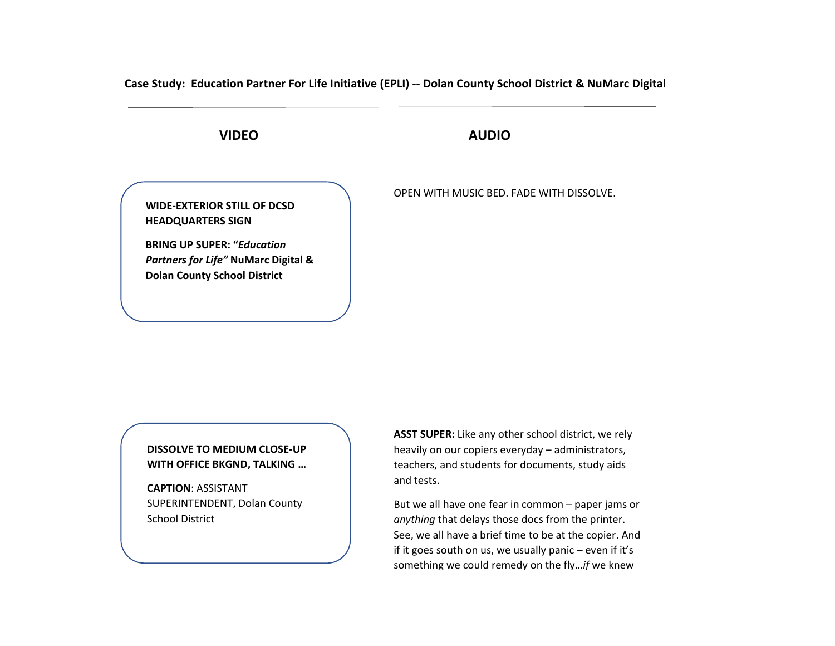**Case Study: Education Partner For Life Initiative (EPLI) -- Dolan County School District & NuMarc Digital** 

# **VIDEO AUDIO**

**WIDE-EXTERIOR STILL OF DCSD HEADQUARTERS SIGN**

**BRING UP SUPER: "***Education Partners for Life"* **NuMarc Digital & Dolan County School District**

OPEN WITH MUSIC BED. FADE WITH DISSOLVE.

## **DISSOLVE TO MEDIUM CLOSE-UP WITH OFFICE BKGND, TALKING …**

AA **CAPTION**: ASSISTANT SUPERINTENDENT, Dolan County School District

**ASST SUPER:** Like any other school district, we rely heavily on our copiers everyday – administrators, teachers, and students for documents, study aids and tests.

But we all have one fear in common – paper jams or *anything* that delays those docs from the printer. See, we all have a brief time to be at the copier. And if it goes south on us, we usually panic – even if it's something we could remedy on the fly…*if* we knew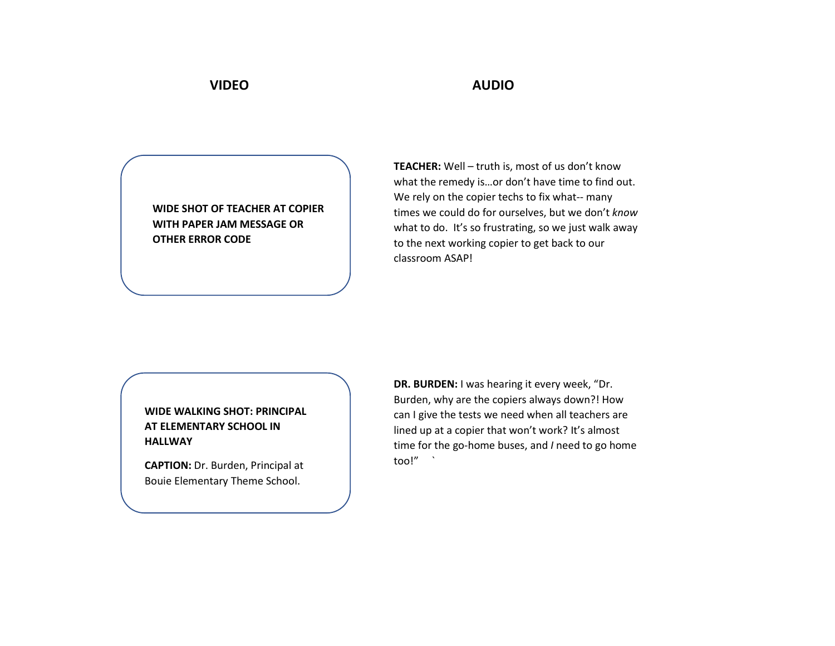**WIDE SHOT OF TEACHER AT COPIER WITH PAPER JAM MESSAGE OR OTHER ERROR CODE**

**TEACHER:** Well – truth is, most of us don't know what the remedy is…or don't have time to find out. We rely on the copier techs to fix what-- many times we could do for ourselves, but we don't *know*  what to do. It's so frustrating, so we just walk away to the next working copier to get back to our classroom ASAP!

## **WIDE WALKING SHOT: PRINCIPAL AT ELEMENTARY SCHOOL IN HALLWAY**

**CAPTION:** Dr. Burden, Principal at Bouie Elementary Theme School.

**DR. BURDEN:** I was hearing it every week, "Dr. Burden, why are the copiers always down?! How can I give the tests we need when all teachers are lined up at a copier that won't work? It's almost time for the go-home buses, and *I* need to go home too!" `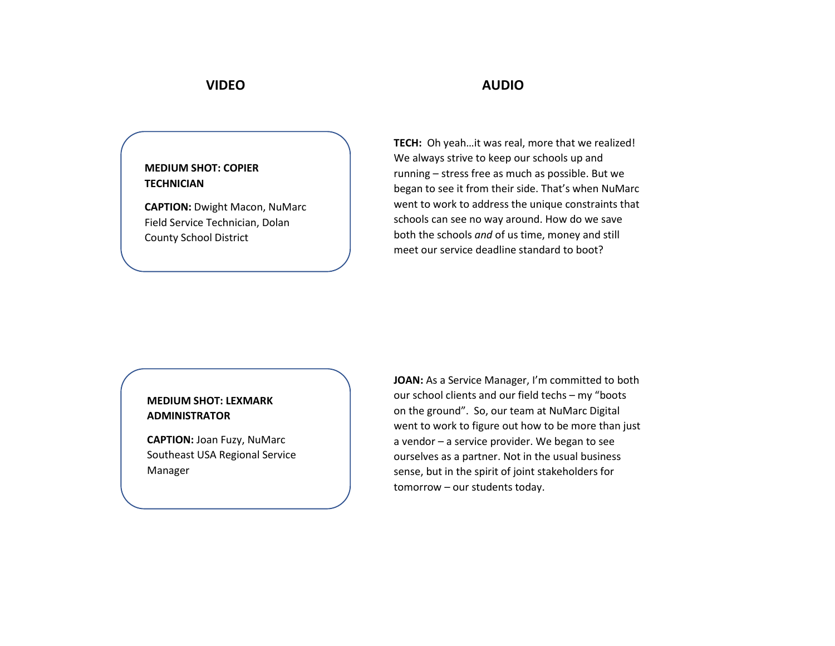## **MEDIUM SHOT: COPIER TECHNICIAN**

**CAPTION:** Dwight Macon, NuMarc Field Service Technician, Dolan County School District

**TECH:** Oh yeah…it was real, more that we realized! We always strive to keep our schools up and running – stress free as much as possible. But we began to see it from their side. That's when NuMarc went to work to address the unique constraints that schools can see no way around. How do we save both the schools *and* of us time, money and still meet our service deadline standard to boot?

## **MEDIUM SHOT: LEXMARK ADMINISTRATOR**

**CAPTION:** Joan Fuzy, NuMarc Southeast USA Regional Service Manager

JOAN: As a Service Manager, I'm committed to both our school clients and our field techs – my "boots on the ground". So, our team at NuMarc Digital went to work to figure out how to be more than just a vendor – a service provider. We began to see ourselves as a partner. Not in the usual business sense, but in the spirit of joint stakeholders for tomorrow – our students today.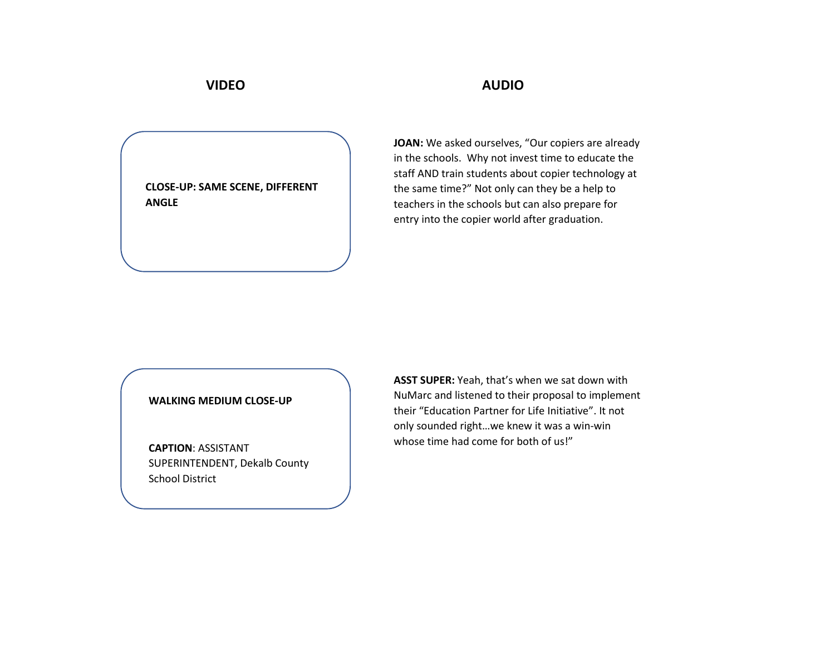**CLOSE-UP: SAME SCENE, DIFFERENT ANGLE**

**JOAN:** We asked ourselves, "Our copiers are already in the schools. Why not invest time to educate the staff AND train students about copier technology at the same time?" Not only can they be a help to teachers in the schools but can also prepare for entry into the copier world after graduation.

### **WALKING MEDIUM CLOSE-UP**

**CAPTION**: ASSISTANT SUPERINTENDENT, Dekalb County School District

**ASST SUPER:** Yeah, that's when we sat down with NuMarc and listened to their proposal to implement their "Education Partner for Life Initiative". It not only sounded right…we knew it was a win-win whose time had come for both of us!"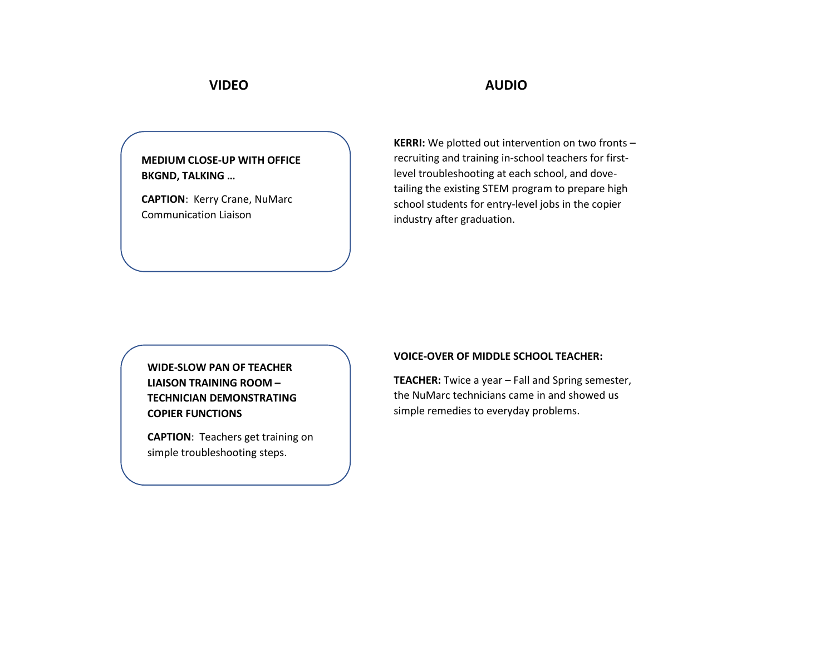**MEDIUM CLOSE-UP WITH OFFICE BKGND, TALKING …**

**CAPTION**: Kerry Crane, NuMarc Communication Liaison

**KERRI:** We plotted out intervention on two fronts – recruiting and training in-school teachers for firstlevel troubleshooting at each school, and dovetailing the existing STEM program to prepare high school students for entry-level jobs in the copier industry after graduation.

**WIDE-SLOW PAN OF TEACHER LIAISON TRAINING ROOM – TECHNICIAN DEMONSTRATING COPIER FUNCTIONS**

**CAPTION**: Teachers get training on simple troubleshooting steps.

### **VOICE-OVER OF MIDDLE SCHOOL TEACHER:**

**TEACHER:** Twice a year – Fall and Spring semester, the NuMarc technicians came in and showed us simple remedies to everyday problems.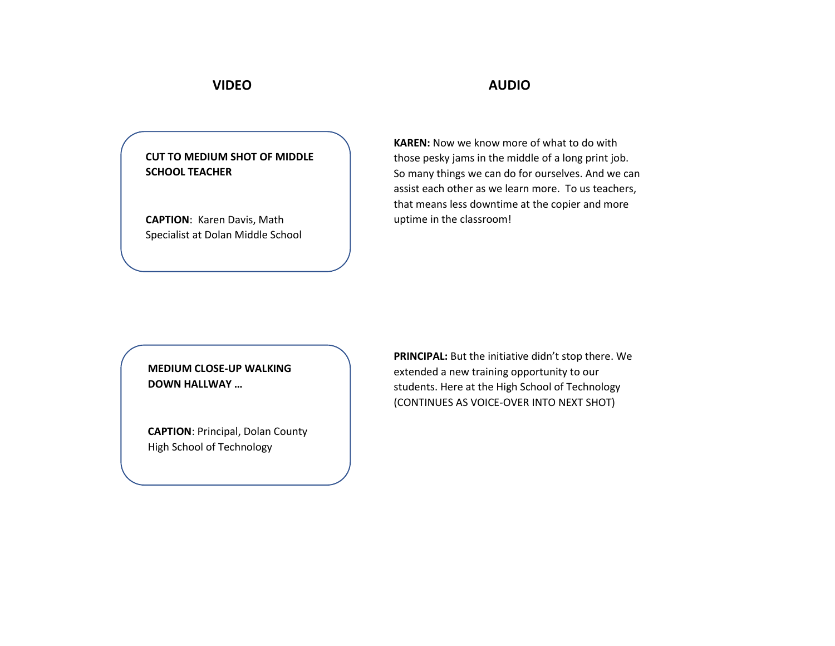**CUT TO MEDIUM SHOT OF MIDDLE SCHOOL TEACHER**

**CAPTION**: Karen Davis, Math Specialist at Dolan Middle School

**KAREN:** Now we know more of what to do with those pesky jams in the middle of a long print job. So many things we can do for ourselves. And we can assist each other as we learn more. To us teachers, that means less downtime at the copier and more uptime in the classroom!

## **MEDIUM CLOSE-UP WALKING DOWN HALLWAY …**

**CAPTION**: Principal, Dolan County High School of Technology

PRINCIPAL: But the initiative didn't stop there. We extended a new training opportunity to our students. Here at the High School of Technology (CONTINUES AS VOICE-OVER INTO NEXT SHOT)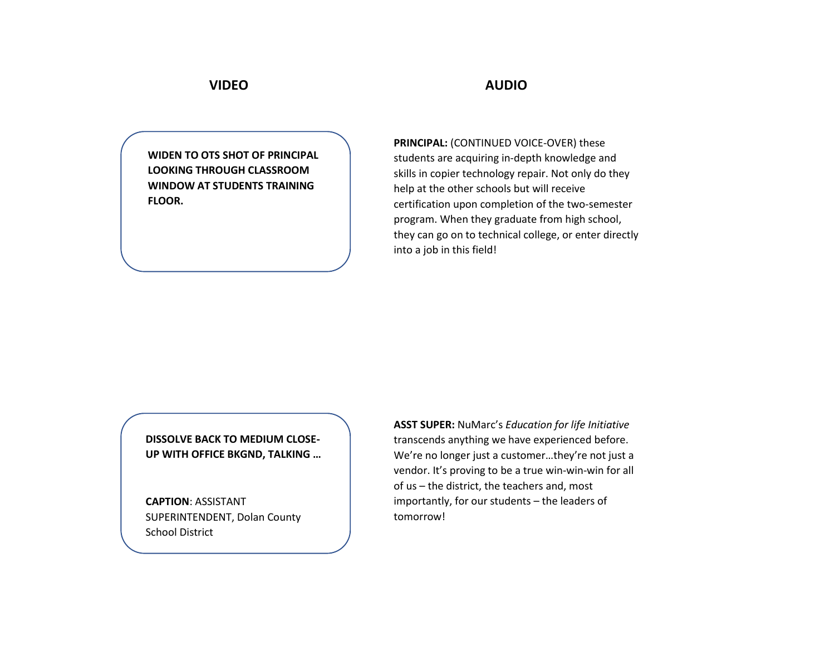**WIDEN TO OTS SHOT OF PRINCIPAL LOOKING THROUGH CLASSROOM WINDOW AT STUDENTS TRAINING FLOOR.**

**PRINCIPAL:** (CONTINUED VOICE-OVER) these students are acquiring in-depth knowledge and skills in copier technology repair. Not only do they help at the other schools but will receive certification upon completion of the two-semester program. When they graduate from high school, they can go on to technical college, or enter directly into a job in this field!

**DISSOLVE BACK TO MEDIUM CLOSE-UP WITH OFFICE BKGND, TALKING …**

**CAPTION**: ASSISTANT SUPERINTENDENT, Dolan County School District

**ASST SUPER:** NuMarc's *Education for life Initiative* transcends anything we have experienced before. We're no longer just a customer…they're not just a vendor. It's proving to be a true win-win-win for all of us – the district, the teachers and, most importantly, for our students – the leaders of tomorrow!